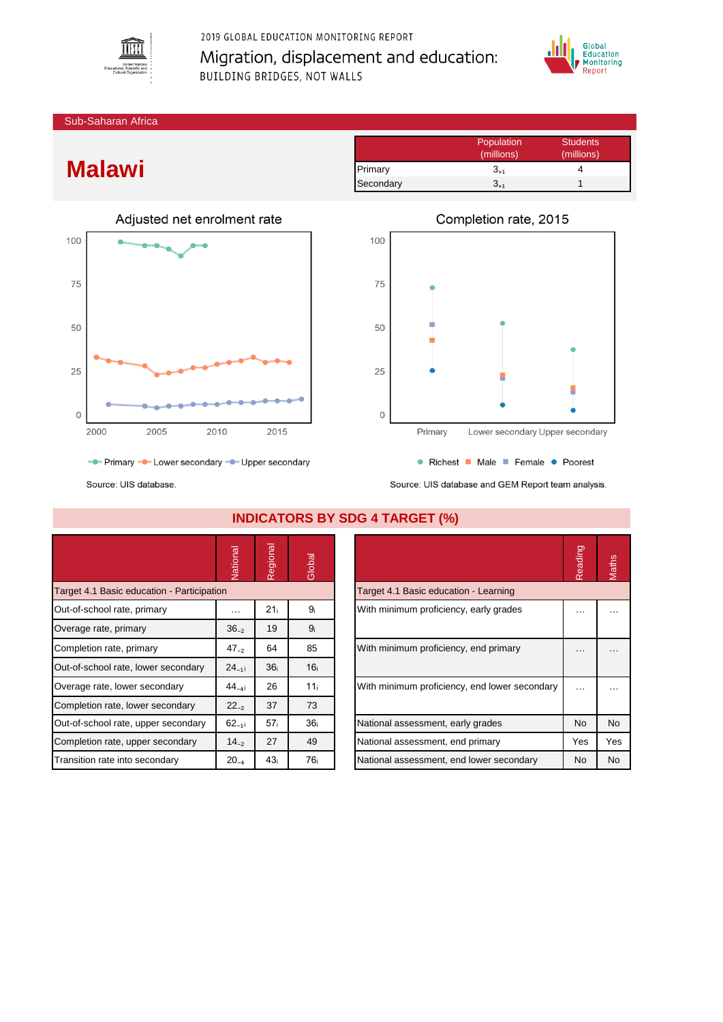

2019 GLOBAL EDUCATION MONITORING REPORT Migration, displacement and education: BUILDING BRIDGES, NOT WALLS



Sub-Saharan Africa

## **Malawi**

|           | Population | <b>Students</b> |
|-----------|------------|-----------------|
|           | (millions) | (millions)      |
| Primary   | $3_{+1}$   |                 |
| Secondary | 3.1        |                 |



100 75 50 25  $\mathsf{O}$ Primary Lower secondary Upper secondary

• Richest • Male • Female • Poorest

Source: UIS database.

Source: UIS database and GEM Report team analysis.

|                                            | Vational   | Regional        | Global          |                                       |                                               | Reading              | Maths     |
|--------------------------------------------|------------|-----------------|-----------------|---------------------------------------|-----------------------------------------------|----------------------|-----------|
| Target 4.1 Basic education - Participation |            |                 |                 |                                       | Target 4.1 Basic education - Learning         |                      |           |
| Out-of-school rate, primary                | $\cdots$   | 21 <sub>i</sub> | 9ì              |                                       | With minimum proficiency, early grades        | $\cdots$             | .         |
| Overage rate, primary                      | $36_{-2}$  | 19              | 9 <sub>i</sub>  |                                       |                                               |                      |           |
| Completion rate, primary                   | $47_{-2}$  | 64              | 85              | With minimum proficiency, end primary |                                               | $\cdots$             |           |
| Out-of-school rate, lower secondary        | $24_{-11}$ | 36 <sub>i</sub> | 16 <sub>i</sub> |                                       |                                               |                      |           |
| Overage rate, lower secondary              | $44_{-41}$ | 26              | 11 <sub>i</sub> |                                       | With minimum proficiency, end lower secondary | $\sim$ $\sim$ $\sim$ | $\cdots$  |
| Completion rate, lower secondary           | $22_{-2}$  | 37              | 73              |                                       |                                               |                      |           |
| Out-of-school rate, upper secondary        | $62_{-11}$ | 57 <sub>i</sub> | 36 <sub>i</sub> | National assessment, early grades     |                                               | <b>No</b>            | <b>No</b> |
| Completion rate, upper secondary           | $14_{-2}$  | 27              | 49              | National assessment, end primary      |                                               | Yes                  | Yes       |
| Transition rate into secondary             | $20_{-4}$  | 43 <sub>i</sub> | 76 <sub>i</sub> |                                       | National assessment, end lower secondary      | No                   | <b>No</b> |

|                                               | Reading   | Maths |
|-----------------------------------------------|-----------|-------|
| Target 4.1 Basic education - Learning         |           |       |
| With minimum proficiency, early grades        |           |       |
| With minimum proficiency, end primary         |           |       |
| With minimum proficiency, end lower secondary |           |       |
| National assessment, early grades             | <b>No</b> | No    |
| National assessment, end primary              | Yes       | Yes   |
| National assessment, end lower secondary      | No        | No    |

## Completion rate, 2015

**INDICATORS BY SDG 4 TARGET (%)**